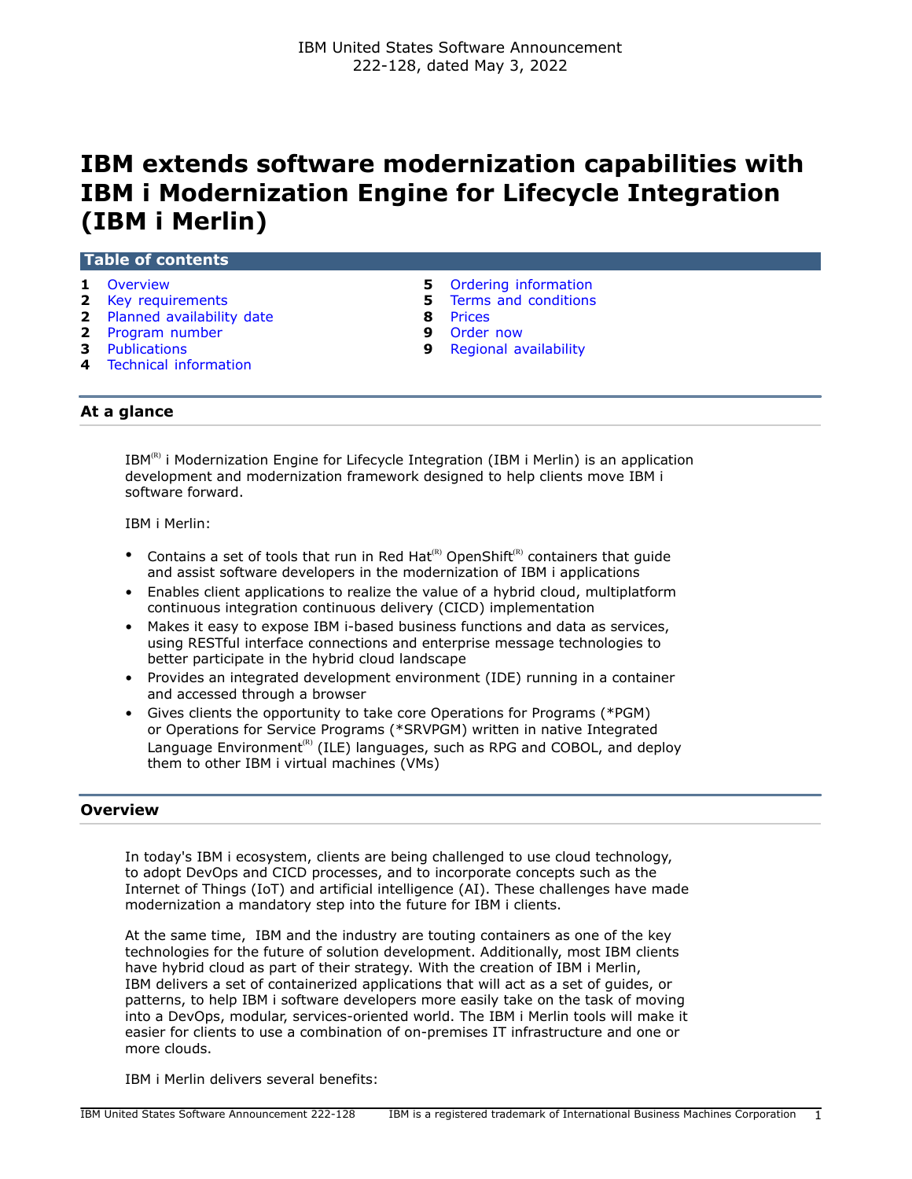# **IBM extends software modernization capabilities with IBM i Modernization Engine for Lifecycle Integration (IBM i Merlin)**

| Table of contents |                             |  |                               |
|-------------------|-----------------------------|--|-------------------------------|
|                   | <b>1</b> Overview           |  | <b>5</b> Ordering information |
|                   | <b>2</b> Key requirements   |  | 5 Terms and conditions        |
|                   | 2 Planned availability date |  | 8 Prices                      |
|                   | <b>2</b> Program number     |  | <b>9</b> Order now            |

- 
- **4** [Technical information](#page-3-0)
- 
- **3** [Publications](#page-2-0) **9** [Regional availability](#page-8-1)

# **At a glance**

 $IBM^{(R)}$  i Modernization Engine for Lifecycle Integration (IBM i Merlin) is an application development and modernization framework designed to help clients move IBM i software forward.

IBM i Merlin:

- Contains a set of tools that run in Red Hat<sup>(R)</sup> OpenShift<sup>(R)</sup> containers that guide and assist software developers in the modernization of IBM i applications
- Enables client applications to realize the value of a hybrid cloud, multiplatform continuous integration continuous delivery (CICD) implementation
- Makes it easy to expose IBM i-based business functions and data as services, using RESTful interface connections and enterprise message technologies to better participate in the hybrid cloud landscape
- Provides an integrated development environment (IDE) running in a container and accessed through a browser
- Gives clients the opportunity to take core Operations for Programs (\*PGM) or Operations for Service Programs (\*SRVPGM) written in native Integrated Language Environment<sup>(R)</sup> (ILE) languages, such as RPG and COBOL, and deploy them to other IBM i virtual machines (VMs)

## <span id="page-0-0"></span>**Overview**

In today's IBM i ecosystem, clients are being challenged to use cloud technology, to adopt DevOps and CICD processes, and to incorporate concepts such as the Internet of Things (IoT) and artificial intelligence (AI). These challenges have made modernization a mandatory step into the future for IBM i clients.

At the same time, IBM and the industry are touting containers as one of the key technologies for the future of solution development. Additionally, most IBM clients have hybrid cloud as part of their strategy. With the creation of IBM i Merlin, IBM delivers a set of containerized applications that will act as a set of guides, or patterns, to help IBM i software developers more easily take on the task of moving into a DevOps, modular, services-oriented world. The IBM i Merlin tools will make it easier for clients to use a combination of on-premises IT infrastructure and one or more clouds.

IBM i Merlin delivers several benefits: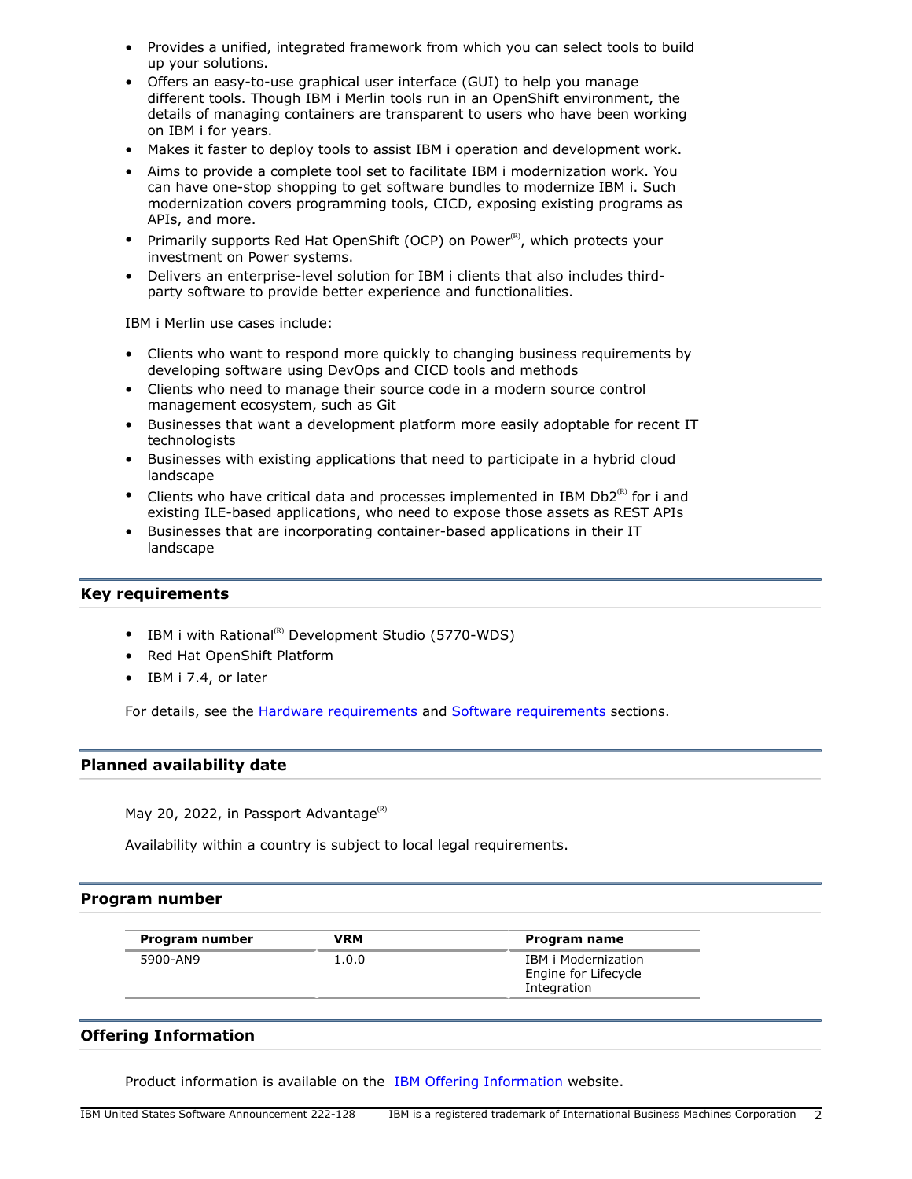- Provides a unified, integrated framework from which you can select tools to build up your solutions.
- Offers an easy-to-use graphical user interface (GUI) to help you manage different tools. Though IBM i Merlin tools run in an OpenShift environment, the details of managing containers are transparent to users who have been working on IBM i for years.
- Makes it faster to deploy tools to assist IBM i operation and development work.
- Aims to provide a complete tool set to facilitate IBM i modernization work. You can have one-stop shopping to get software bundles to modernize IBM i. Such modernization covers programming tools, CICD, exposing existing programs as APIs, and more.
- Primarily supports Red Hat OpenShift (OCP) on Power $\alpha$ , which protects your investment on Power systems.
- Delivers an enterprise-level solution for IBM i clients that also includes thirdparty software to provide better experience and functionalities.

IBM i Merlin use cases include:

- Clients who want to respond more quickly to changing business requirements by developing software using DevOps and CICD tools and methods
- Clients who need to manage their source code in a modern source control management ecosystem, such as Git
- Businesses that want a development platform more easily adoptable for recent IT technologists
- Businesses with existing applications that need to participate in a hybrid cloud landscape
- Clients who have critical data and processes implemented in IBM Db2 $^{(R)}$  for i and existing ILE-based applications, who need to expose those assets as REST APIs
- Businesses that are incorporating container-based applications in their IT landscape

# <span id="page-1-0"></span>**Key requirements**

- IBM i with Rational<sup>(R)</sup> Development Studio (5770-WDS)
- Red Hat OpenShift Platform
- IBM i 7.4, or later

For details, see the [Hardware requirements](#page-3-1) and [Software requirements](#page-3-2) sections.

# <span id="page-1-1"></span>**Planned availability date**

May 20, 2022, in Passport Advantage $<sup>(R)</sup>$ </sup>

Availability within a country is subject to local legal requirements.

# <span id="page-1-2"></span>**Program number**

| Program number | VRM   | Program name                                               |
|----------------|-------|------------------------------------------------------------|
| 5900-AN9       | 1.0.0 | IBM i Modernization<br>Engine for Lifecycle<br>Integration |

# **Offering Information**

Product information is available on the [IBM Offering Information](http://www.ibm.com/common/ssi) website.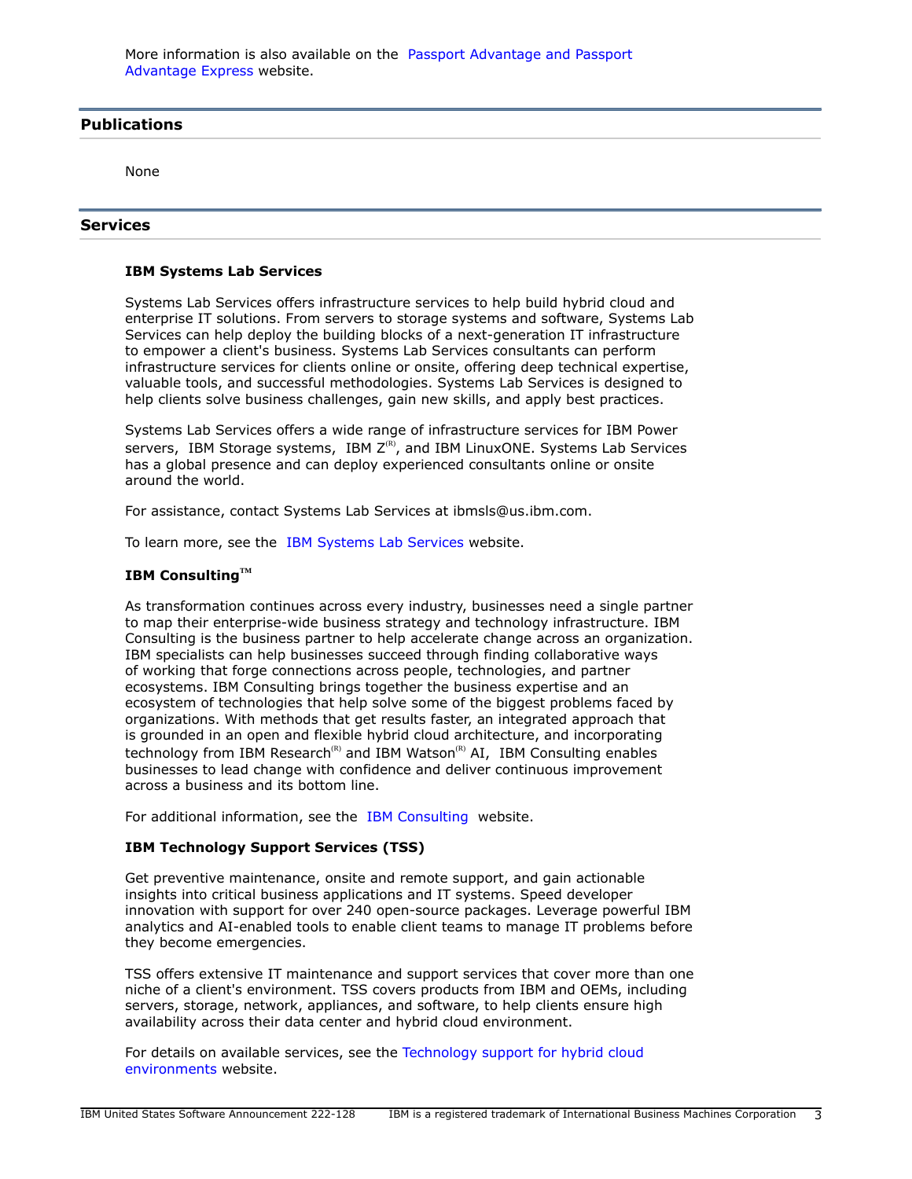# <span id="page-2-0"></span>**Publications**

None

# **Services**

#### **IBM Systems Lab Services**

Systems Lab Services offers infrastructure services to help build hybrid cloud and enterprise IT solutions. From servers to storage systems and software, Systems Lab Services can help deploy the building blocks of a next-generation IT infrastructure to empower a client's business. Systems Lab Services consultants can perform infrastructure services for clients online or onsite, offering deep technical expertise, valuable tools, and successful methodologies. Systems Lab Services is designed to help clients solve business challenges, gain new skills, and apply best practices.

Systems Lab Services offers a wide range of infrastructure services for IBM Power servers, IBM Storage systems, IBM  $Z^{(R)}$ , and IBM LinuxONE. Systems Lab Services has a global presence and can deploy experienced consultants online or onsite around the world.

For assistance, contact Systems Lab Services at ibmsls@us.ibm.com.

To learn more, see the [IBM Systems Lab Services](https://www.ibm.com/it-infrastructure/services/lab-services) website.

# **IBM ConsultingTM**

As transformation continues across every industry, businesses need a single partner to map their enterprise-wide business strategy and technology infrastructure. IBM Consulting is the business partner to help accelerate change across an organization. IBM specialists can help businesses succeed through finding collaborative ways of working that forge connections across people, technologies, and partner ecosystems. IBM Consulting brings together the business expertise and an ecosystem of technologies that help solve some of the biggest problems faced by organizations. With methods that get results faster, an integrated approach that is grounded in an open and flexible hybrid cloud architecture, and incorporating technology from IBM Research<sup>(R)</sup> and IBM Watson<sup>(R)</sup> AI, IBM Consulting enables businesses to lead change with confidence and deliver continuous improvement across a business and its bottom line.

For additional information, see the [IBM Consulting](https://www.ibm.com/consulting) website.

#### **IBM Technology Support Services (TSS)**

Get preventive maintenance, onsite and remote support, and gain actionable insights into critical business applications and IT systems. Speed developer innovation with support for over 240 open-source packages. Leverage powerful IBM analytics and AI-enabled tools to enable client teams to manage IT problems before they become emergencies.

TSS offers extensive IT maintenance and support services that cover more than one niche of a client's environment. TSS covers products from IBM and OEMs, including servers, storage, network, appliances, and software, to help clients ensure high availability across their data center and hybrid cloud environment.

For details on available services, see the [Technology support for hybrid cloud](https://www.ibm.com/services/technology-support) [environments](https://www.ibm.com/services/technology-support) website.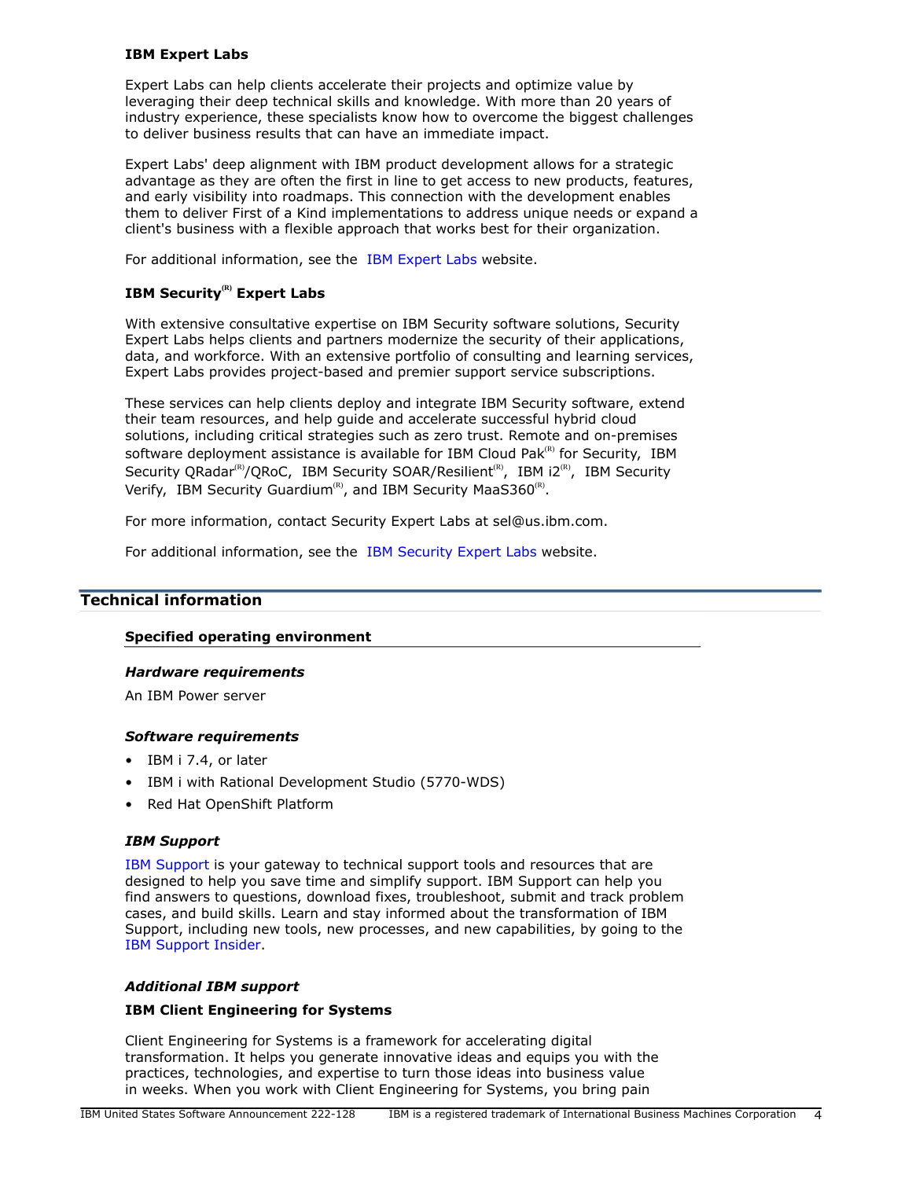# **IBM Expert Labs**

Expert Labs can help clients accelerate their projects and optimize value by leveraging their deep technical skills and knowledge. With more than 20 years of industry experience, these specialists know how to overcome the biggest challenges to deliver business results that can have an immediate impact.

Expert Labs' deep alignment with IBM product development allows for a strategic advantage as they are often the first in line to get access to new products, features, and early visibility into roadmaps. This connection with the development enables them to deliver First of a Kind implementations to address unique needs or expand a client's business with a flexible approach that works best for their organization.

For additional information, see the [IBM Expert Labs](https://www.ibm.com/products/expertlabs) website.

# **IBM Security(R) Expert Labs**

With extensive consultative expertise on IBM Security software solutions, Security Expert Labs helps clients and partners modernize the security of their applications, data, and workforce. With an extensive portfolio of consulting and learning services, Expert Labs provides project-based and premier support service subscriptions.

These services can help clients deploy and integrate IBM Security software, extend their team resources, and help guide and accelerate successful hybrid cloud solutions, including critical strategies such as zero trust. Remote and on-premises software deployment assistance is available for IBM Cloud Pak $R<sup>(R)</sup>$  for Security, IBM Security QRadar<sup>(R)</sup>/QRoC, IBM Security SOAR/Resilient<sup>(R)</sup>, IBM i2<sup>(R)</sup>, IBM Security Verify, IBM Security Guardium<sup>(R)</sup>, and IBM Security MaaS360<sup>(R)</sup>.

For more information, contact Security Expert Labs at sel@us.ibm.com.

For additional information, see the [IBM Security Expert Labs](https://www.ibm.com/security/security-expert-labs) website.

# <span id="page-3-0"></span>**Technical information**

# **Specified operating environment**

#### <span id="page-3-1"></span>*Hardware requirements*

An IBM Power server

#### <span id="page-3-2"></span>*Software requirements*

- IBM i 7.4, or later
- IBM i with Rational Development Studio (5770-WDS)
- Red Hat OpenShift Platform

#### *IBM Support*

[IBM Support](https://www.ibm.com/support) is your gateway to technical support tools and resources that are designed to help you save time and simplify support. IBM Support can help you find answers to questions, download fixes, troubleshoot, submit and track problem cases, and build skills. Learn and stay informed about the transformation of IBM Support, including new tools, new processes, and new capabilities, by going to the [IBM Support Insider](https://www.ibm.com/support/insider).

# *Additional IBM support*

#### **IBM Client Engineering for Systems**

Client Engineering for Systems is a framework for accelerating digital transformation. It helps you generate innovative ideas and equips you with the practices, technologies, and expertise to turn those ideas into business value in weeks. When you work with Client Engineering for Systems, you bring pain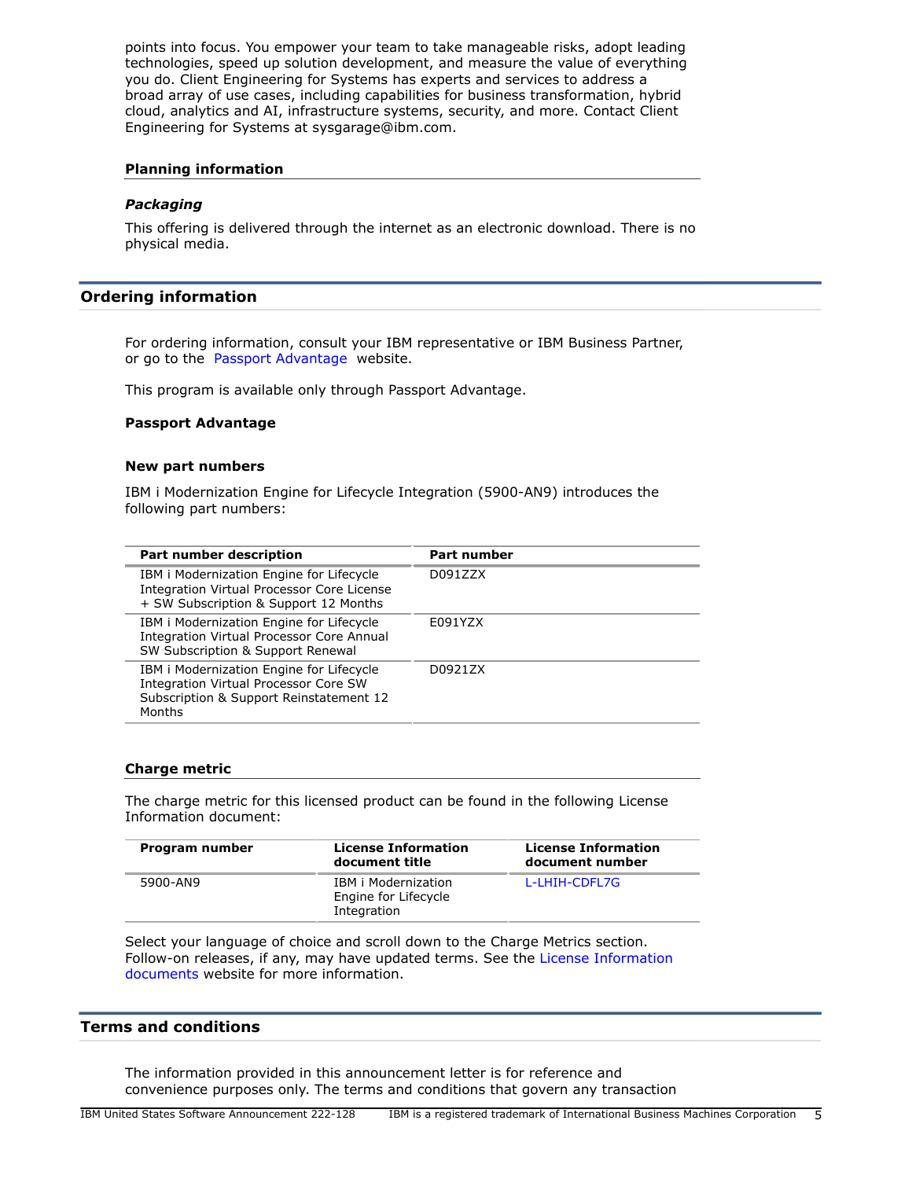points into focus. You empower your team to take manageable risks, adopt leading technologies, speed up solution development, and measure the value of everything you do. Client Engineering for Systems has experts and services to address a broad array of use cases, including capabilities for business transformation, hybrid cloud, analytics and AI, infrastructure systems, security, and more. Contact Client Engineering for Systems at sysgarage@ibm.com.

#### **Planning information**

#### *Packaging*

This offering is delivered through the internet as an electronic download. There is no physical media.

#### <span id="page-4-0"></span>**Ordering information**

For ordering information, consult your IBM representative or IBM Business Partner, or go to the [Passport Advantage](https://www.ibm.com/software/passportadvantage/) website.

This program is available only through Passport Advantage.

#### **Passport Advantage**

#### **New part numbers**

IBM i Modernization Engine for Lifecycle Integration (5900-AN9) introduces the following part numbers:

| Part number description                                                                                                                       | <b>Part number</b> |
|-----------------------------------------------------------------------------------------------------------------------------------------------|--------------------|
| IBM i Modernization Engine for Lifecycle<br>Integration Virtual Processor Core License<br>+ SW Subscription & Support 12 Months               | D091ZZX            |
| IBM i Modernization Engine for Lifecycle<br>Integration Virtual Processor Core Annual<br>SW Subscription & Support Renewal                    | E091YZX            |
| IBM i Modernization Engine for Lifecycle<br>Integration Virtual Processor Core SW<br>Subscription & Support Reinstatement 12<br><b>Months</b> | D0921ZX            |

#### **Charge metric**

The charge metric for this licensed product can be found in the following License Information document:

| Program number | <b>License Information</b><br>document title                      | <b>License Information</b><br>document number |
|----------------|-------------------------------------------------------------------|-----------------------------------------------|
| 5900-AN9       | <b>IBM</b> i Modernization<br>Engine for Lifecycle<br>Integration | L-LHIH-CDFL7G                                 |

Select your language of choice and scroll down to the Charge Metrics section. Follow-on releases, if any, may have updated terms. See the [License Information](https://www.ibm.com/software/sla/sladb.nsf/search?OpenForm) [documents](https://www.ibm.com/software/sla/sladb.nsf/search?OpenForm) website for more information.

#### <span id="page-4-1"></span>**Terms and conditions**

The information provided in this announcement letter is for reference and convenience purposes only. The terms and conditions that govern any transaction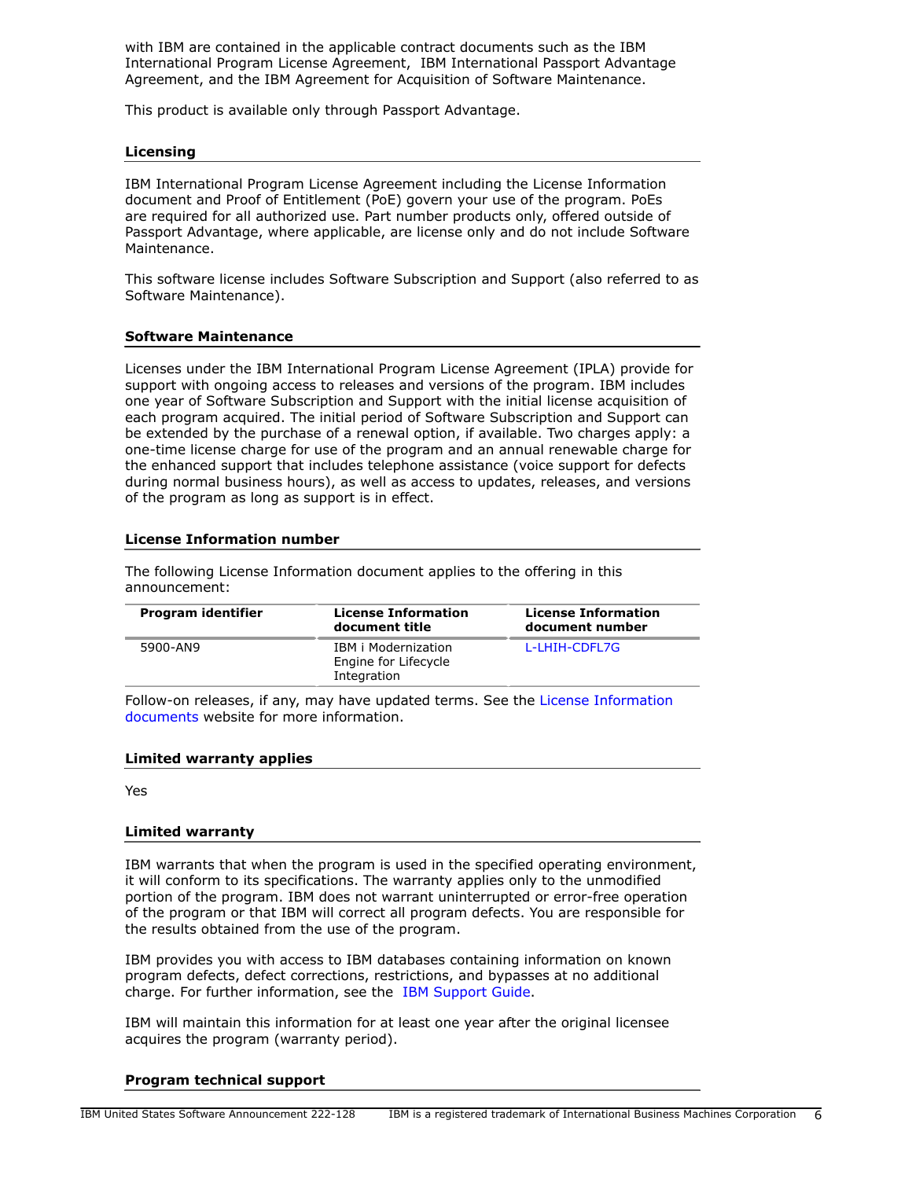with IBM are contained in the applicable contract documents such as the IBM International Program License Agreement, IBM International Passport Advantage Agreement, and the IBM Agreement for Acquisition of Software Maintenance.

This product is available only through Passport Advantage.

#### **Licensing**

IBM International Program License Agreement including the License Information document and Proof of Entitlement (PoE) govern your use of the program. PoEs are required for all authorized use. Part number products only, offered outside of Passport Advantage, where applicable, are license only and do not include Software Maintenance.

This software license includes Software Subscription and Support (also referred to as Software Maintenance).

## **Software Maintenance**

Licenses under the IBM International Program License Agreement (IPLA) provide for support with ongoing access to releases and versions of the program. IBM includes one year of Software Subscription and Support with the initial license acquisition of each program acquired. The initial period of Software Subscription and Support can be extended by the purchase of a renewal option, if available. Two charges apply: a one-time license charge for use of the program and an annual renewable charge for the enhanced support that includes telephone assistance (voice support for defects during normal business hours), as well as access to updates, releases, and versions of the program as long as support is in effect.

#### **License Information number**

The following License Information document applies to the offering in this announcement:

| Program identifier | <b>License Information</b><br>document title                      | <b>License Information</b><br>document number |
|--------------------|-------------------------------------------------------------------|-----------------------------------------------|
| 5900-AN9           | <b>IBM</b> i Modernization<br>Engine for Lifecycle<br>Integration | L-LHIH-CDFL7G                                 |

Follow-on releases, if any, may have updated terms. See the [License Information](https://www.ibm.com/software/sla/sladb.nsf/search?OpenForm) [documents](https://www.ibm.com/software/sla/sladb.nsf/search?OpenForm) website for more information.

#### **Limited warranty applies**

Yes

#### **Limited warranty**

IBM warrants that when the program is used in the specified operating environment, it will conform to its specifications. The warranty applies only to the unmodified portion of the program. IBM does not warrant uninterrupted or error-free operation of the program or that IBM will correct all program defects. You are responsible for the results obtained from the use of the program.

IBM provides you with access to IBM databases containing information on known program defects, defect corrections, restrictions, and bypasses at no additional charge. For further information, see the [IBM Support Guide](http://www.ibm.com/support/customercare/sas/f/handbook/home.html).

IBM will maintain this information for at least one year after the original licensee acquires the program (warranty period).

#### **Program technical support**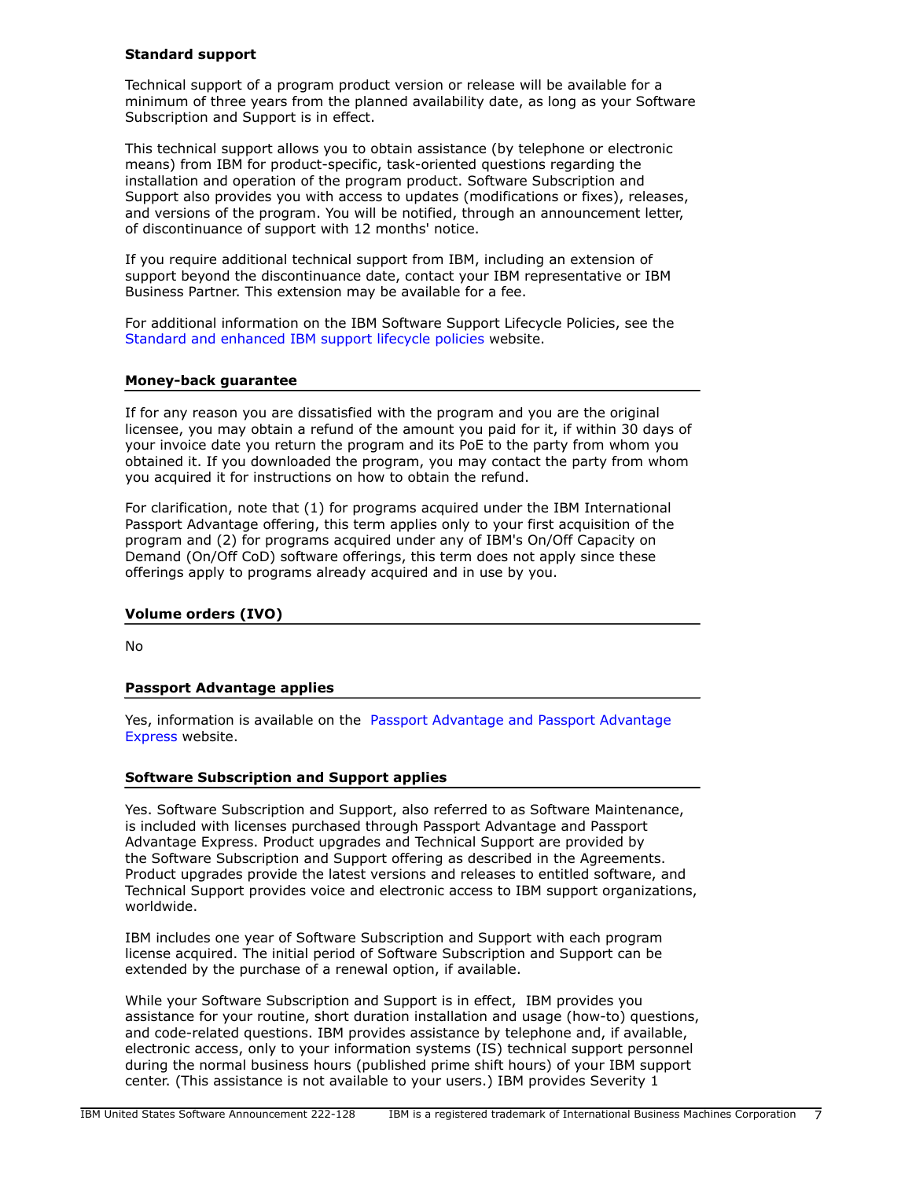## **Standard support**

Technical support of a program product version or release will be available for a minimum of three years from the planned availability date, as long as your Software Subscription and Support is in effect.

This technical support allows you to obtain assistance (by telephone or electronic means) from IBM for product-specific, task-oriented questions regarding the installation and operation of the program product. Software Subscription and Support also provides you with access to updates (modifications or fixes), releases, and versions of the program. You will be notified, through an announcement letter, of discontinuance of support with 12 months' notice.

If you require additional technical support from IBM, including an extension of support beyond the discontinuance date, contact your IBM representative or IBM Business Partner. This extension may be available for a fee.

For additional information on the IBM Software Support Lifecycle Policies, see the [Standard and enhanced IBM support lifecycle policies](http://www.ibm.com/software/support/lifecycle/lc-policy.html) website.

#### **Money-back guarantee**

If for any reason you are dissatisfied with the program and you are the original licensee, you may obtain a refund of the amount you paid for it, if within 30 days of your invoice date you return the program and its PoE to the party from whom you obtained it. If you downloaded the program, you may contact the party from whom you acquired it for instructions on how to obtain the refund.

For clarification, note that (1) for programs acquired under the IBM International Passport Advantage offering, this term applies only to your first acquisition of the program and (2) for programs acquired under any of IBM's On/Off Capacity on Demand (On/Off CoD) software offerings, this term does not apply since these offerings apply to programs already acquired and in use by you.

# **Volume orders (IVO)**

No

#### **Passport Advantage applies**

Yes, information is available on the [Passport Advantage and Passport Advantage](http://www.ibm.com/software/passportadvantage) [Express](http://www.ibm.com/software/passportadvantage) website.

#### **Software Subscription and Support applies**

Yes. Software Subscription and Support, also referred to as Software Maintenance, is included with licenses purchased through Passport Advantage and Passport Advantage Express. Product upgrades and Technical Support are provided by the Software Subscription and Support offering as described in the Agreements. Product upgrades provide the latest versions and releases to entitled software, and Technical Support provides voice and electronic access to IBM support organizations, worldwide.

IBM includes one year of Software Subscription and Support with each program license acquired. The initial period of Software Subscription and Support can be extended by the purchase of a renewal option, if available.

While your Software Subscription and Support is in effect, IBM provides you assistance for your routine, short duration installation and usage (how-to) questions, and code-related questions. IBM provides assistance by telephone and, if available, electronic access, only to your information systems (IS) technical support personnel during the normal business hours (published prime shift hours) of your IBM support center. (This assistance is not available to your users.) IBM provides Severity 1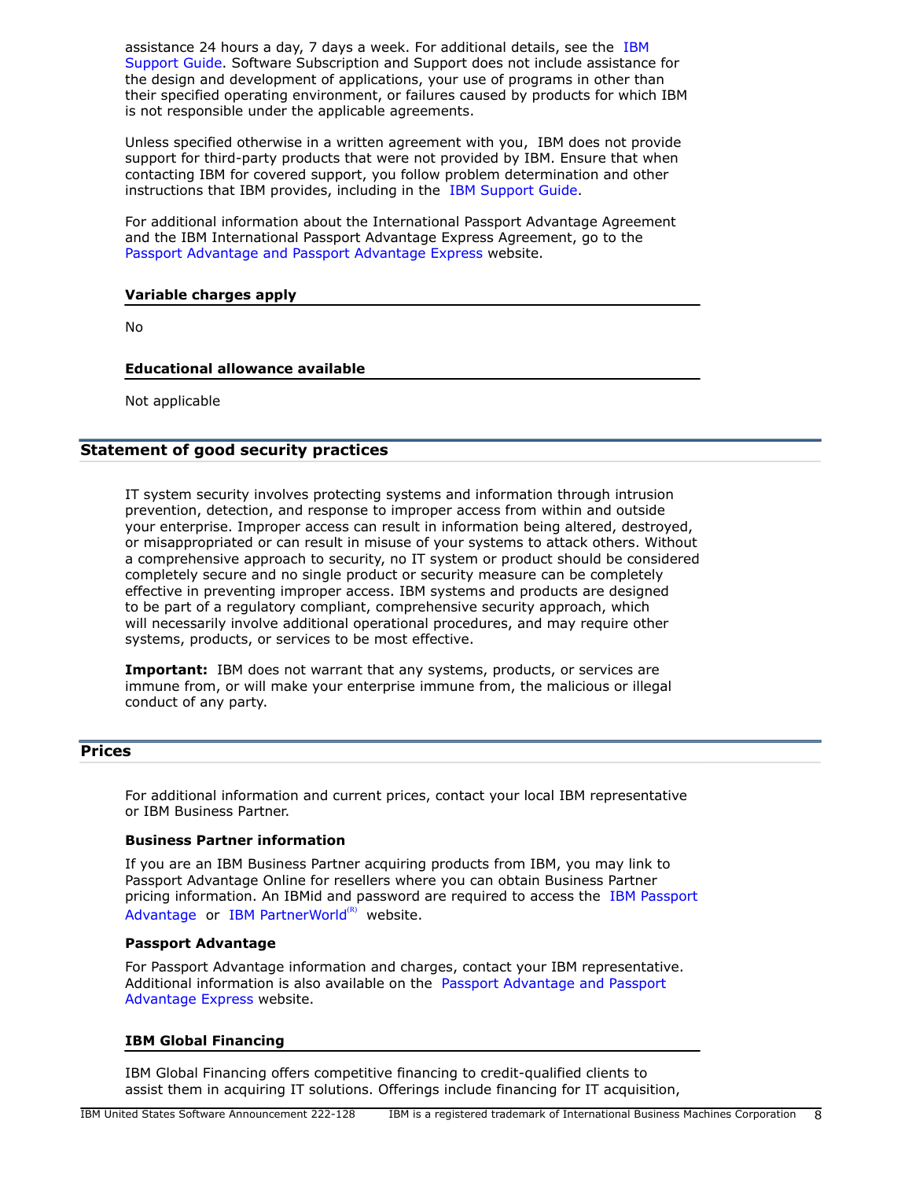assistance 24 hours a day, 7 days a week. For additional details, see the [IBM](http://www.ibm.com/support/customercare/sas/f/handbook/home.html) [Support Guide](http://www.ibm.com/support/customercare/sas/f/handbook/home.html). Software Subscription and Support does not include assistance for the design and development of applications, your use of programs in other than their specified operating environment, or failures caused by products for which IBM is not responsible under the applicable agreements.

Unless specified otherwise in a written agreement with you, IBM does not provide support for third-party products that were not provided by IBM. Ensure that when contacting IBM for covered support, you follow problem determination and other instructions that IBM provides, including in the [IBM Support Guide.](http://www.ibm.com/support/customercare/sas/f/handbook/home.html)

For additional information about the International Passport Advantage Agreement and the IBM International Passport Advantage Express Agreement, go to the [Passport Advantage and Passport Advantage Express](http://www.ibm.com/software/passportadvantage) website.

#### **Variable charges apply**

No

# **Educational allowance available**

Not applicable

# **Statement of good security practices**

IT system security involves protecting systems and information through intrusion prevention, detection, and response to improper access from within and outside your enterprise. Improper access can result in information being altered, destroyed, or misappropriated or can result in misuse of your systems to attack others. Without a comprehensive approach to security, no IT system or product should be considered completely secure and no single product or security measure can be completely effective in preventing improper access. IBM systems and products are designed to be part of a regulatory compliant, comprehensive security approach, which will necessarily involve additional operational procedures, and may require other systems, products, or services to be most effective.

**Important:** IBM does not warrant that any systems, products, or services are immune from, or will make your enterprise immune from, the malicious or illegal conduct of any party.

# <span id="page-7-0"></span>**Prices**

For additional information and current prices, contact your local IBM representative or IBM Business Partner.

#### **Business Partner information**

If you are an IBM Business Partner acquiring products from IBM, you may link to Passport Advantage Online for resellers where you can obtain Business Partner pricing information. An IBMid and password are required to access the [IBM Passport](https://www.ibm.com/software/passportadvantage/pao_reseller.html) [Advantage](https://www.ibm.com/software/passportadvantage/pao_reseller.html) or [IBM PartnerWorld](https://www.ibm.com/partnerworld/resources/sell) $(R)$  website.

#### **Passport Advantage**

For Passport Advantage information and charges, contact your IBM representative. Additional information is also available on the [Passport Advantage and Passport](http://www.ibm.com/software/passportadvantage) [Advantage Express](http://www.ibm.com/software/passportadvantage) website.

#### **IBM Global Financing**

IBM Global Financing offers competitive financing to credit-qualified clients to assist them in acquiring IT solutions. Offerings include financing for IT acquisition,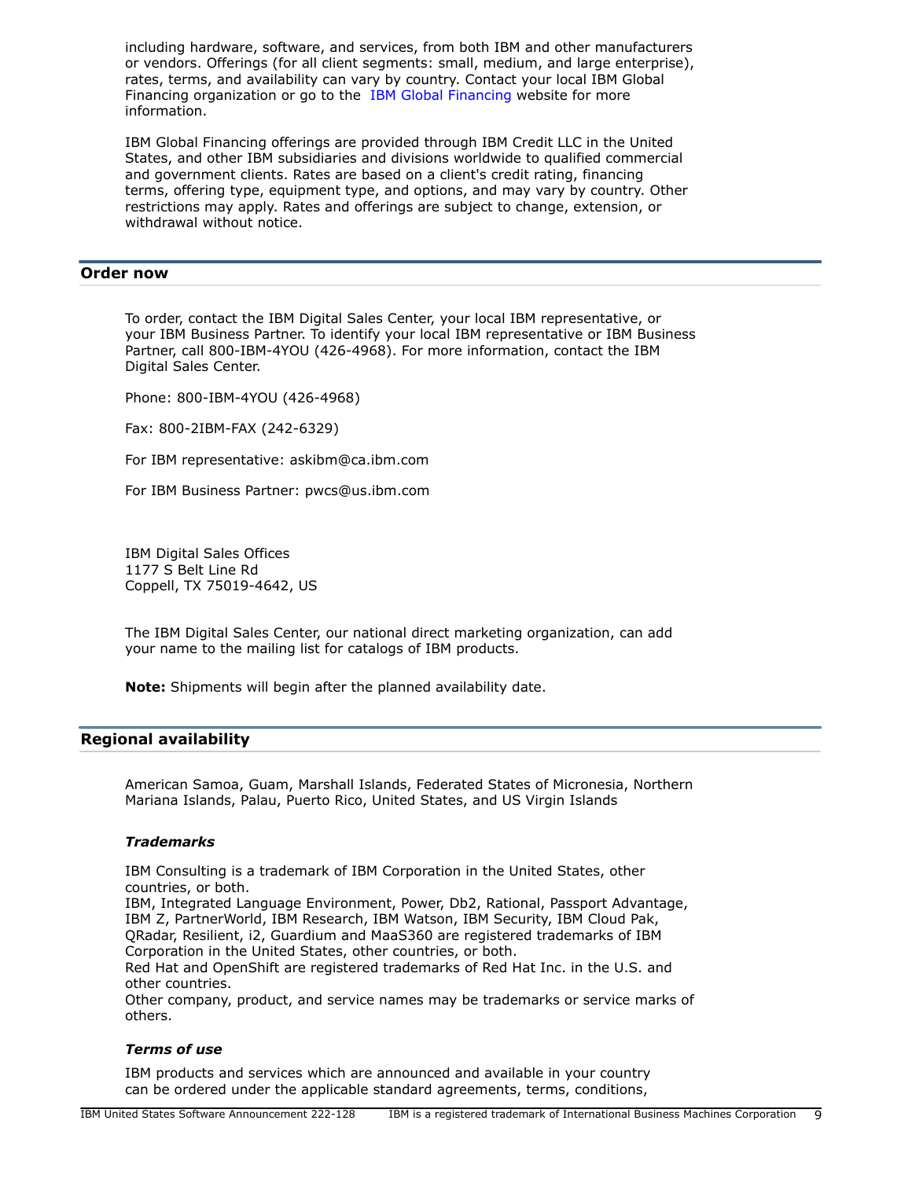including hardware, software, and services, from both IBM and other manufacturers or vendors. Offerings (for all client segments: small, medium, and large enterprise), rates, terms, and availability can vary by country. Contact your local IBM Global Financing organization or go to the [IBM Global Financing](http://www.ibm.com/financing) website for more information.

IBM Global Financing offerings are provided through IBM Credit LLC in the United States, and other IBM subsidiaries and divisions worldwide to qualified commercial and government clients. Rates are based on a client's credit rating, financing terms, offering type, equipment type, and options, and may vary by country. Other restrictions may apply. Rates and offerings are subject to change, extension, or withdrawal without notice.

#### <span id="page-8-0"></span>**Order now**

To order, contact the IBM Digital Sales Center, your local IBM representative, or your IBM Business Partner. To identify your local IBM representative or IBM Business Partner, call 800-IBM-4YOU (426-4968). For more information, contact the IBM Digital Sales Center.

Phone: 800-IBM-4YOU (426-4968)

Fax: 800-2IBM-FAX (242-6329)

For IBM representative: askibm@ca.ibm.com

For IBM Business Partner: pwcs@us.ibm.com

IBM Digital Sales Offices 1177 S Belt Line Rd Coppell, TX 75019-4642, US

The IBM Digital Sales Center, our national direct marketing organization, can add your name to the mailing list for catalogs of IBM products.

**Note:** Shipments will begin after the planned availability date.

## <span id="page-8-1"></span>**Regional availability**

American Samoa, Guam, Marshall Islands, Federated States of Micronesia, Northern Mariana Islands, Palau, Puerto Rico, United States, and US Virgin Islands

#### *Trademarks*

IBM Consulting is a trademark of IBM Corporation in the United States, other countries, or both.

IBM, Integrated Language Environment, Power, Db2, Rational, Passport Advantage, IBM Z, PartnerWorld, IBM Research, IBM Watson, IBM Security, IBM Cloud Pak, QRadar, Resilient, i2, Guardium and MaaS360 are registered trademarks of IBM Corporation in the United States, other countries, or both.

Red Hat and OpenShift are registered trademarks of Red Hat Inc. in the U.S. and other countries.

Other company, product, and service names may be trademarks or service marks of others.

## *Terms of use*

IBM products and services which are announced and available in your country can be ordered under the applicable standard agreements, terms, conditions,